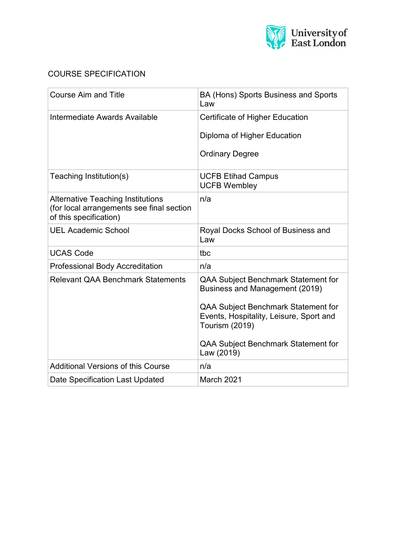

# COURSE SPECIFICATION

| <b>Course Aim and Title</b>                                                                                     | BA (Hons) Sports Business and Sports<br>Law                                                                    |  |
|-----------------------------------------------------------------------------------------------------------------|----------------------------------------------------------------------------------------------------------------|--|
| Intermediate Awards Available                                                                                   | Certificate of Higher Education                                                                                |  |
|                                                                                                                 | Diploma of Higher Education                                                                                    |  |
|                                                                                                                 | <b>Ordinary Degree</b>                                                                                         |  |
| Teaching Institution(s)                                                                                         | <b>UCFB Etihad Campus</b><br><b>UCFB Wembley</b>                                                               |  |
| <b>Alternative Teaching Institutions</b><br>(for local arrangements see final section<br>of this specification) | n/a                                                                                                            |  |
| <b>UEL Academic School</b>                                                                                      | Royal Docks School of Business and<br>Law                                                                      |  |
| <b>UCAS Code</b>                                                                                                | tbc                                                                                                            |  |
| Professional Body Accreditation                                                                                 | n/a                                                                                                            |  |
| <b>Relevant QAA Benchmark Statements</b>                                                                        | QAA Subject Benchmark Statement for<br>Business and Management (2019)                                          |  |
|                                                                                                                 | <b>QAA Subject Benchmark Statement for</b><br>Events, Hospitality, Leisure, Sport and<br><b>Tourism (2019)</b> |  |
|                                                                                                                 | QAA Subject Benchmark Statement for<br>Law (2019)                                                              |  |
| <b>Additional Versions of this Course</b>                                                                       | n/a                                                                                                            |  |
| Date Specification Last Updated                                                                                 | March 2021                                                                                                     |  |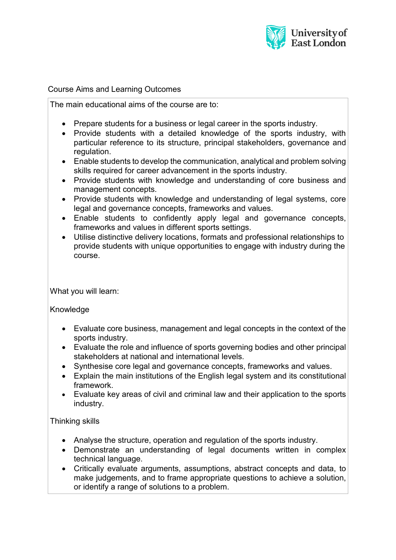

#### Course Aims and Learning Outcomes

The main educational aims of the course are to:

- Prepare students for a business or legal career in the sports industry.
- Provide students with a detailed knowledge of the sports industry, with particular reference to its structure, principal stakeholders, governance and regulation.
- Enable students to develop the communication, analytical and problem solving skills required for career advancement in the sports industry.
- Provide students with knowledge and understanding of core business and management concepts.
- Provide students with knowledge and understanding of legal systems, core legal and governance concepts, frameworks and values.
- Enable students to confidently apply legal and governance concepts, frameworks and values in different sports settings.
- Utilise distinctive delivery locations, formats and professional relationships to provide students with unique opportunities to engage with industry during the course.

What you will learn:

**Knowledge** 

- Evaluate core business, management and legal concepts in the context of the sports industry.
- Evaluate the role and influence of sports governing bodies and other principal stakeholders at national and international levels.
- Synthesise core legal and governance concepts, frameworks and values.
- Explain the main institutions of the English legal system and its constitutional framework.
- Evaluate key areas of civil and criminal law and their application to the sports industry.

Thinking skills

- Analyse the structure, operation and regulation of the sports industry.
- Demonstrate an understanding of legal documents written in complex technical language.
- Critically evaluate arguments, assumptions, abstract concepts and data, to make judgements, and to frame appropriate questions to achieve a solution, or identify a range of solutions to a problem.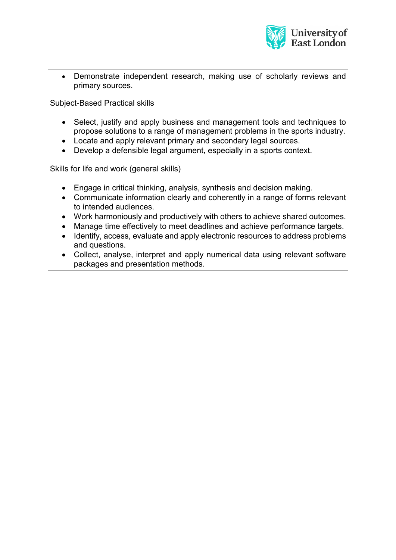

• Demonstrate independent research, making use of scholarly reviews and primary sources.

Subject-Based Practical skills

- Select, justify and apply business and management tools and techniques to propose solutions to a range of management problems in the sports industry.
- Locate and apply relevant primary and secondary legal sources.
- Develop a defensible legal argument, especially in a sports context.

Skills for life and work (general skills)

- Engage in critical thinking, analysis, synthesis and decision making.
- Communicate information clearly and coherently in a range of forms relevant to intended audiences.
- Work harmoniously and productively with others to achieve shared outcomes.
- Manage time effectively to meet deadlines and achieve performance targets.
- Identify, access, evaluate and apply electronic resources to address problems and questions.
- Collect, analyse, interpret and apply numerical data using relevant software packages and presentation methods.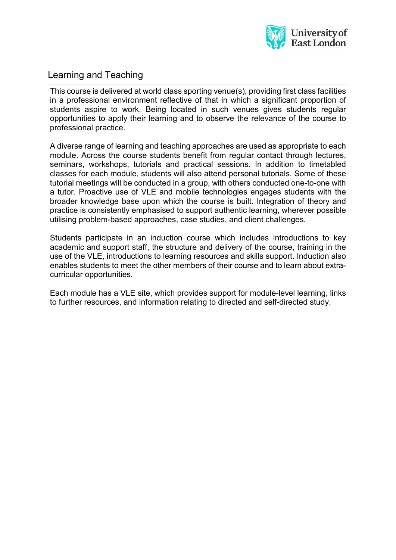

# Learning and Teaching

This course is delivered at world class sporting venue(s), providing first class facilities in a professional environment reflective of that in which a significant proportion of students aspire to work. Being located in such venues gives students regular opportunities to apply their learning and to observe the relevance of the course to professional practice.

A diverse range of learning and teaching approaches are used as appropriate to each module. Across the course students benefit from regular contact through lectures, seminars, workshops, tutorials and practical sessions. In addition to timetabled classes for each module, students will also attend personal tutorials. Some of these tutorial meetings will be conducted in a group, with others conducted one-to-one with a tutor. Proactive use of VLE and mobile technologies engages students with the broader knowledge base upon which the course is built. Integration of theory and practice is consistently emphasised to support authentic learning, wherever possible utilising problem-based approaches, case studies, and client challenges.

Students participate in an induction course which includes introductions to key academic and support staff, the structure and delivery of the course, training in the use of the VLE, introductions to learning resources and skills support. Induction also enables students to meet the other members of their course and to learn about extracurricular opportunities.

Each module has a VLE site, which provides support for module-level learning, links to further resources, and information relating to directed and self-directed study.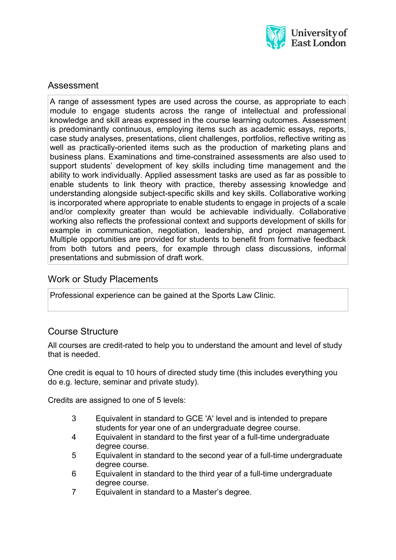

# Assessment

A range of assessment types are used across the course, as appropriate to each module to engage students across the range of intellectual and professional knowledge and skill areas expressed in the course learning outcomes. Assessment is predominantly continuous, employing items such as academic essays, reports, case study analyses, presentations, client challenges, portfolios, reflective writing as well as practically-oriented items such as the production of marketing plans and business plans. Examinations and time-constrained assessments are also used to support students' development of key skills including time management and the ability to work individually. Applied assessment tasks are used as far as possible to enable students to link theory with practice, thereby assessing knowledge and understanding alongside subject-specific skills and key skills. Collaborative working is incorporated where appropriate to enable students to engage in projects of a scale and/or complexity greater than would be achievable individually. Collaborative working also reflects the professional context and supports development of skills for example in communication, negotiation, leadership, and project management. Multiple opportunities are provided for students to benefit from formative feedback from both tutors and peers, for example through class discussions, informal presentations and submission of draft work.

#### Work or Study Placements

Professional experience can be gained at the Sports Law Clinic.

# Course Structure

All courses are credit-rated to help you to understand the amount and level of study that is needed.

One credit is equal to 10 hours of directed study time (this includes everything you do e.g. lecture, seminar and private study).

Credits are assigned to one of 5 levels:

- 3 Equivalent in standard to GCE 'A' level and is intended to prepare students for year one of an undergraduate degree course.
- 4 Equivalent in standard to the first year of a full-time undergraduate degree course.
- 5 Equivalent in standard to the second year of a full-time undergraduate degree course.
- 6 Equivalent in standard to the third year of a full-time undergraduate degree course.
- 7 Equivalent in standard to a Master's degree.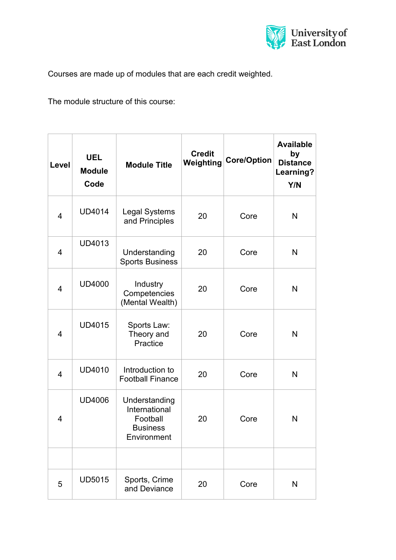

Courses are made up of modules that are each credit weighted.

The module structure of this course:

| Level          | <b>UEL</b><br><b>Module</b><br>Code | <b>Module Title</b>                                                          | <b>Credit</b><br>Weighting | Core/Option | <b>Available</b><br>by<br><b>Distance</b><br>Learning?<br>Y/N |
|----------------|-------------------------------------|------------------------------------------------------------------------------|----------------------------|-------------|---------------------------------------------------------------|
| $\overline{4}$ | <b>UD4014</b>                       | <b>Legal Systems</b><br>and Principles                                       | 20                         | Core        | N                                                             |
| 4              | <b>UD4013</b>                       | Understanding<br><b>Sports Business</b>                                      | 20                         | Core        | N                                                             |
| $\overline{4}$ | <b>UD4000</b>                       | Industry<br>Competencies<br>(Mental Wealth)                                  | 20                         | Core        | N                                                             |
| 4              | <b>UD4015</b>                       | Sports Law:<br>Theory and<br>Practice                                        | 20                         | Core        | N                                                             |
| 4              | <b>UD4010</b>                       | Introduction to<br><b>Football Finance</b>                                   | 20                         | Core        | N                                                             |
| 4              | <b>UD4006</b>                       | Understanding<br>International<br>Football<br><b>Business</b><br>Environment | 20                         | Core        | N                                                             |
|                |                                     |                                                                              |                            |             |                                                               |
| 5              | <b>UD5015</b>                       | Sports, Crime<br>and Deviance                                                | 20                         | Core        | N                                                             |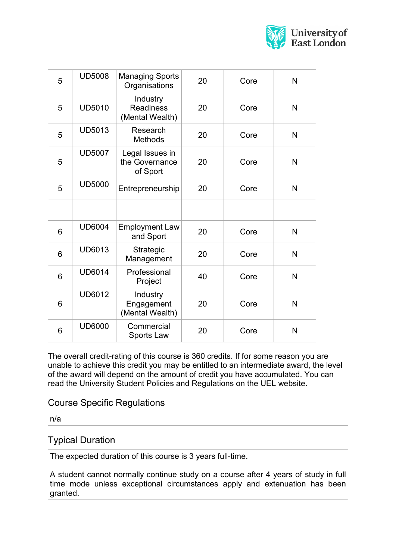

| 5               | <b>UD5008</b> | <b>Managing Sports</b><br>Organisations         | 20 | Core | N            |
|-----------------|---------------|-------------------------------------------------|----|------|--------------|
| 5               | <b>UD5010</b> | Industry<br><b>Readiness</b><br>(Mental Wealth) | 20 | Core | N            |
| 5               | <b>UD5013</b> | Research<br>Methods                             | 20 | Core | $\mathsf{N}$ |
| 5               | <b>UD5007</b> | Legal Issues in<br>the Governance<br>of Sport   | 20 | Core | N            |
| 5               | <b>UD5000</b> | Entrepreneurship                                | 20 | Core | N            |
|                 |               |                                                 |    |      |              |
| $6\phantom{1}$  | <b>UD6004</b> | <b>Employment Law</b><br>and Sport              | 20 | Core | N            |
| $6\phantom{1}6$ | <b>UD6013</b> | Strategic<br>Management                         | 20 | Core | N            |
| $6\phantom{1}6$ | <b>UD6014</b> | Professional<br>Project                         | 40 | Core | N            |
| 6               | <b>UD6012</b> | Industry<br>Engagement<br>(Mental Wealth)       | 20 | Core | N            |
| 6               | <b>UD6000</b> | Commercial<br>Sports Law                        | 20 | Core | N            |

The overall credit-rating of this course is 360 credits. If for some reason you are unable to achieve this credit you may be entitled to an intermediate award, the level of the award will depend on the amount of credit you have accumulated. You can read the University Student Policies and Regulations on the UEL website.

#### Course Specific Regulations

n/a

#### Typical Duration

The expected duration of this course is 3 years full-time.

A student cannot normally continue study on a course after 4 years of study in full time mode unless exceptional circumstances apply and extenuation has been granted.